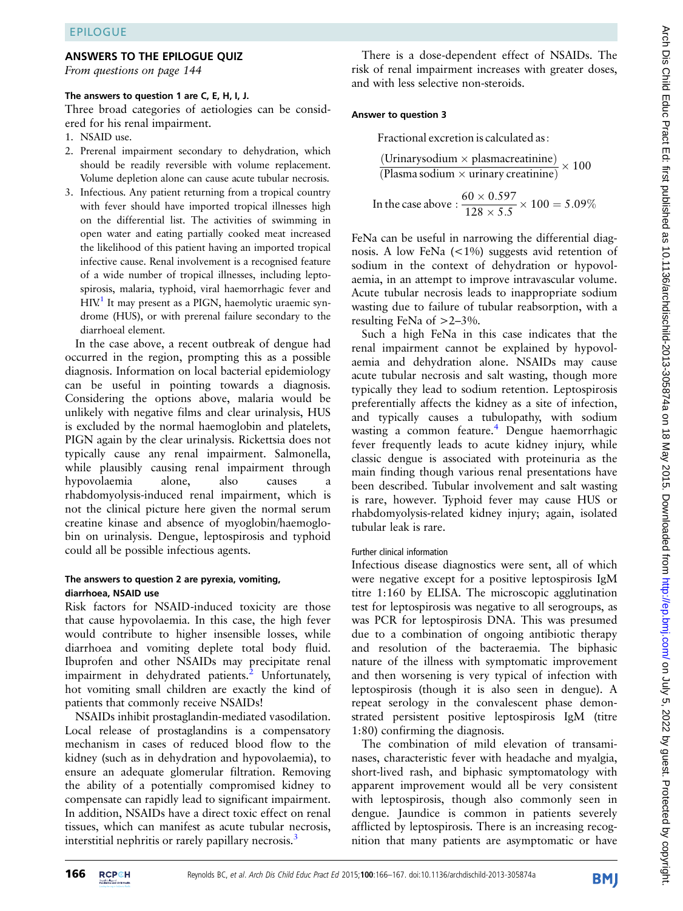### ANSWERS TO THE EPILOGUE QUIZ

From questions on page 144

#### The answers to question 1 are C, E, H, I, J.

Three broad categories of aetiologies can be considered for his renal impairment.

- 1. NSAID use.
- 2. Prerenal impairment secondary to dehydration, which should be readily reversible with volume replacement. Volume depletion alone can cause acute tubular necrosis.
- 3. Infectious. Any patient returning from a tropical country with fever should have imported tropical illnesses high on the differential list. The activities of swimming in open water and eating partially cooked meat increased the likelihood of this patient having an imported tropical infective cause. Renal involvement is a recognised feature of a wide number of tropical illnesses, including leptospirosis, malaria, typhoid, viral haemorrhagic fever and  $HIN<sup>1</sup>$  $HIN<sup>1</sup>$  $HIN<sup>1</sup>$  It may present as a PIGN, haemolytic uraemic syndrome (HUS), or with prerenal failure secondary to the diarrhoeal element.

In the case above, a recent outbreak of dengue had occurred in the region, prompting this as a possible diagnosis. Information on local bacterial epidemiology can be useful in pointing towards a diagnosis. Considering the options above, malaria would be unlikely with negative films and clear urinalysis, HUS is excluded by the normal haemoglobin and platelets, PIGN again by the clear urinalysis. Rickettsia does not typically cause any renal impairment. Salmonella, while plausibly causing renal impairment through hypovolaemia alone, also causes a rhabdomyolysis-induced renal impairment, which is not the clinical picture here given the normal serum creatine kinase and absence of myoglobin/haemoglobin on urinalysis. Dengue, leptospirosis and typhoid could all be possible infectious agents.

## The answers to question 2 are pyrexia, vomiting, diarrhoea, NSAID use

Risk factors for NSAID-induced toxicity are those that cause hypovolaemia. In this case, the high fever would contribute to higher insensible losses, while diarrhoea and vomiting deplete total body fluid. Ibuprofen and other NSAIDs may precipitate renal impairment in dehydrated patients.<sup>[2](#page-1-0)</sup> Unfortunately, hot vomiting small children are exactly the kind of patients that commonly receive NSAIDs!

NSAIDs inhibit prostaglandin-mediated vasodilation. Local release of prostaglandins is a compensatory mechanism in cases of reduced blood flow to the kidney (such as in dehydration and hypovolaemia), to ensure an adequate glomerular filtration. Removing the ability of a potentially compromised kidney to compensate can rapidly lead to significant impairment. In addition, NSAIDs have a direct toxic effect on renal tissues, which can manifest as acute tubular necrosis, interstitial nephritis or rarely papillary necrosis.<sup>[3](#page-1-0)</sup>

There is a dose-dependent effect of NSAIDs. The risk of renal impairment increases with greater doses, and with less selective non-steroids.

#### Answer to question 3

Fractional excretion is calculated as:

$$
\frac{(\text{Urinarysodium} \times \text{plasmacreatinine})}{(\text{Plasma sodium} \times \text{urinary creatinine})} \times 100
$$

In the case above : 
$$
\frac{60 \times 0.597}{128 \times 5.5} \times 100 = 5.09\%
$$

FeNa can be useful in narrowing the differential diagnosis. A low FeNa (<1%) suggests avid retention of sodium in the context of dehydration or hypovolaemia, in an attempt to improve intravascular volume. Acute tubular necrosis leads to inappropriate sodium wasting due to failure of tubular reabsorption, with a resulting FeNa of  $>2-3\%$ .

Such a high FeNa in this case indicates that the renal impairment cannot be explained by hypovolaemia and dehydration alone. NSAIDs may cause acute tubular necrosis and salt wasting, though more typically they lead to sodium retention. Leptospirosis preferentially affects the kidney as a site of infection, and typically causes a tubulopathy, with sodium wasting a common feature.<sup>[4](#page-1-0)</sup> Dengue haemorrhagic fever frequently leads to acute kidney injury, while classic dengue is associated with proteinuria as the main finding though various renal presentations have been described. Tubular involvement and salt wasting is rare, however. Typhoid fever may cause HUS or rhabdomyolysis-related kidney injury; again, isolated tubular leak is rare.

## Further clinical information

Infectious disease diagnostics were sent, all of which were negative except for a positive leptospirosis IgM titre 1:160 by ELISA. The microscopic agglutination test for leptospirosis was negative to all serogroups, as was PCR for leptospirosis DNA. This was presumed due to a combination of ongoing antibiotic therapy and resolution of the bacteraemia. The biphasic nature of the illness with symptomatic improvement and then worsening is very typical of infection with leptospirosis (though it is also seen in dengue). A repeat serology in the convalescent phase demonstrated persistent positive leptospirosis IgM (titre 1:80) confirming the diagnosis.

The combination of mild elevation of transaminases, characteristic fever with headache and myalgia, short-lived rash, and biphasic symptomatology with apparent improvement would all be very consistent with leptospirosis, though also commonly seen in dengue. Jaundice is common in patients severely afflicted by leptospirosis. There is an increasing recognition that many patients are asymptomatic or have